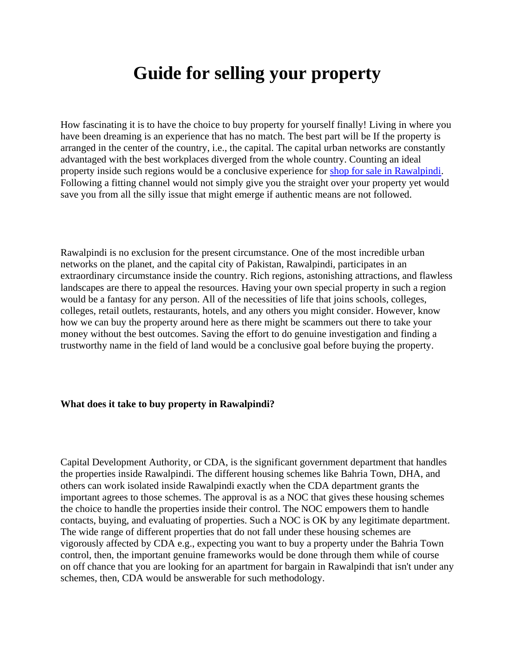# **Guide for selling your property**

How fascinating it is to have the choice to buy property for yourself finally! Living in where you have been dreaming is an experience that has no match. The best part will be If the property is arranged in the center of the country, i.e., the capital. The capital urban networks are constantly advantaged with the best workplaces diverged from the whole country. Counting an ideal property inside such regions would be a conclusive experience for [shop for sale in Rawalpindi.](https://gharbaar.com/sale/Commercial-Shop/Rawalpindi-5-1) Following a fitting channel would not simply give you the straight over your property yet would save you from all the silly issue that might emerge if authentic means are not followed.

Rawalpindi is no exclusion for the present circumstance. One of the most incredible urban networks on the planet, and the capital city of Pakistan, Rawalpindi, participates in an extraordinary circumstance inside the country. Rich regions, astonishing attractions, and flawless landscapes are there to appeal the resources. Having your own special property in such a region would be a fantasy for any person. All of the necessities of life that joins schools, colleges, colleges, retail outlets, restaurants, hotels, and any others you might consider. However, know how we can buy the property around here as there might be scammers out there to take your money without the best outcomes. Saving the effort to do genuine investigation and finding a trustworthy name in the field of land would be a conclusive goal before buying the property.

## **What does it take to buy property in Rawalpindi?**

Capital Development Authority, or CDA, is the significant government department that handles the properties inside Rawalpindi. The different housing schemes like Bahria Town, DHA, and others can work isolated inside Rawalpindi exactly when the CDA department grants the important agrees to those schemes. The approval is as a NOC that gives these housing schemes the choice to handle the properties inside their control. The NOC empowers them to handle contacts, buying, and evaluating of properties. Such a NOC is OK by any legitimate department. The wide range of different properties that do not fall under these housing schemes are vigorously affected by CDA e.g., expecting you want to buy a property under the Bahria Town control, then, the important genuine frameworks would be done through them while of course on off chance that you are looking for an apartment for bargain in Rawalpindi that isn't under any schemes, then, CDA would be answerable for such methodology.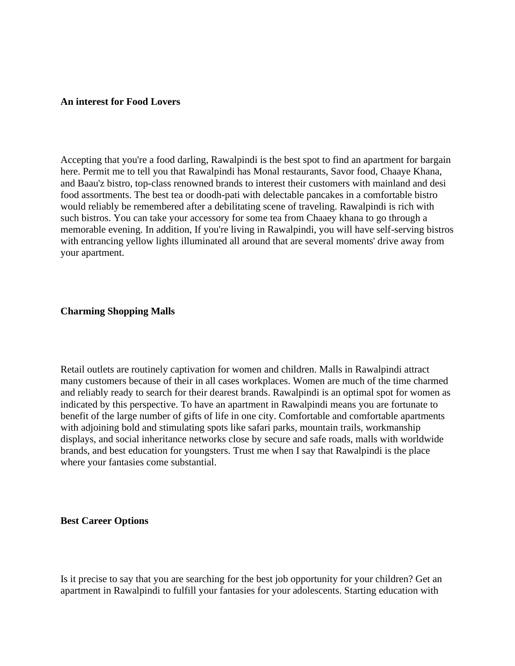### **An interest for Food Lovers**

Accepting that you're a food darling, Rawalpindi is the best spot to find an apartment for bargain here. Permit me to tell you that Rawalpindi has Monal restaurants, Savor food, Chaaye Khana, and Baau'z bistro, top-class renowned brands to interest their customers with mainland and desi food assortments. The best tea or doodh-pati with delectable pancakes in a comfortable bistro would reliably be remembered after a debilitating scene of traveling. Rawalpindi is rich with such bistros. You can take your accessory for some tea from Chaaey khana to go through a memorable evening. In addition, If you're living in Rawalpindi, you will have self-serving bistros with entrancing yellow lights illuminated all around that are several moments' drive away from your apartment.

### **Charming Shopping Malls**

Retail outlets are routinely captivation for women and children. Malls in Rawalpindi attract many customers because of their in all cases workplaces. Women are much of the time charmed and reliably ready to search for their dearest brands. Rawalpindi is an optimal spot for women as indicated by this perspective. To have an apartment in Rawalpindi means you are fortunate to benefit of the large number of gifts of life in one city. Comfortable and comfortable apartments with adjoining bold and stimulating spots like safari parks, mountain trails, workmanship displays, and social inheritance networks close by secure and safe roads, malls with worldwide brands, and best education for youngsters. Trust me when I say that Rawalpindi is the place where your fantasies come substantial.

#### **Best Career Options**

Is it precise to say that you are searching for the best job opportunity for your children? Get an apartment in Rawalpindi to fulfill your fantasies for your adolescents. Starting education with